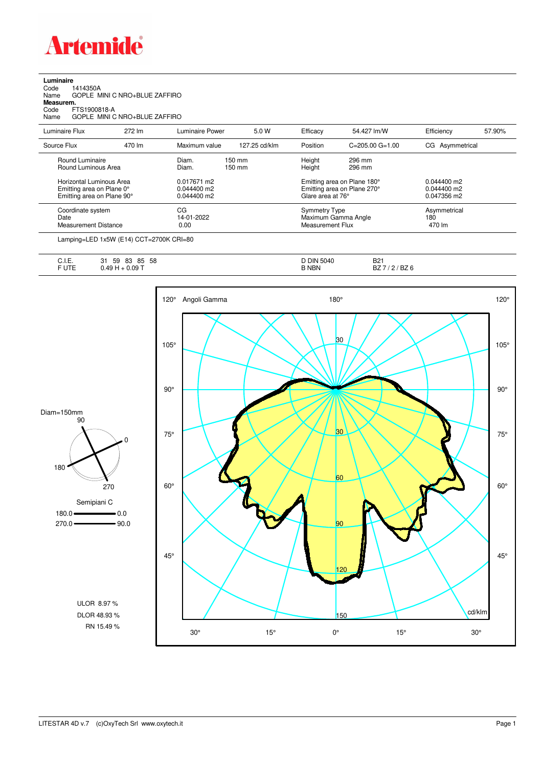

| Luminaire |  |  |
|-----------|--|--|
|           |  |  |

| 1414350A<br>Code<br>Name<br>Measurem.<br>Code<br>Name    | GOPLE MINI C NRO+BLUE ZAFFIRO<br>FTS1900818-A<br>GOPLE MINI C NRO+BLUE ZAFFIRO                                                                                                                                                                                                                                                                                                                                                                                                             |                                           |                            |                   |                                                                        |                                           |        |
|----------------------------------------------------------|--------------------------------------------------------------------------------------------------------------------------------------------------------------------------------------------------------------------------------------------------------------------------------------------------------------------------------------------------------------------------------------------------------------------------------------------------------------------------------------------|-------------------------------------------|----------------------------|-------------------|------------------------------------------------------------------------|-------------------------------------------|--------|
| Luminaire Flux                                           | 272 lm                                                                                                                                                                                                                                                                                                                                                                                                                                                                                     | <b>Luminaire Power</b>                    | 5.0 W                      | Efficacy          | 54.427 lm/W                                                            | Efficiency                                | 57.90% |
| Source Flux                                              | 470 lm                                                                                                                                                                                                                                                                                                                                                                                                                                                                                     | Maximum value                             | 127.25 cd/klm              | Position          | $C = 205.00$ $G = 1.00$                                                | CG Asymmetrical                           |        |
| Round Luminaire<br>Round Luminous Area                   |                                                                                                                                                                                                                                                                                                                                                                                                                                                                                            | Diam.<br>Diam.                            | $150 \text{ mm}$<br>150 mm | Height<br>Height  | 296 mm<br>296 mm                                                       |                                           |        |
|                                                          | Horizontal Luminous Area<br>Emitting area on Plane 0°<br>Emitting area on Plane 90°                                                                                                                                                                                                                                                                                                                                                                                                        | 0.017671 m2<br>0.044400 m2<br>0.044400 m2 |                            | Glare area at 76° | Emitting area on Plane 180°<br>Emitting area on Plane 270°             | 0.044400 m2<br>0.044400 m2<br>0.047356 m2 |        |
| Coordinate system<br>Date<br><b>Measurement Distance</b> |                                                                                                                                                                                                                                                                                                                                                                                                                                                                                            | CG<br>14-01-2022<br>0.00                  |                            |                   | <b>Symmetry Type</b><br>Maximum Gamma Angle<br><b>Measurement Flux</b> |                                           |        |
|                                                          | $\blacksquare$ $\blacksquare$ $\blacksquare$ $\blacksquare$ $\blacksquare$ $\blacksquare$ $\blacksquare$ $\blacksquare$ $\blacksquare$ $\blacksquare$ $\blacksquare$ $\blacksquare$ $\blacksquare$ $\blacksquare$ $\blacksquare$ $\blacksquare$ $\blacksquare$ $\blacksquare$ $\blacksquare$ $\blacksquare$ $\blacksquare$ $\blacksquare$ $\blacksquare$ $\blacksquare$ $\blacksquare$ $\blacksquare$ $\blacksquare$ $\blacksquare$ $\blacksquare$ $\blacksquare$ $\blacksquare$ $\blacks$ |                                           |                            |                   |                                                                        |                                           |        |

Lamping=LED 1x5W (E14) CCT=2700K CRI=80

| $\overline{1}$<br>- -<br>∪. I. ⊏. | 58<br>Q۵<br>85<br>59<br>ົ<br>ບບ<br>ີ | <b>DIN</b><br>5040 | B <sub>2</sub> <sup>1</sup> |
|-----------------------------------|--------------------------------------|--------------------|-----------------------------|
| - 11-0<br>◡⊩                      | 0.09T<br>AC<br>$\mathbf{r}$          | <b>NBN</b>         | BZ.<br>BZ t<br>-            |